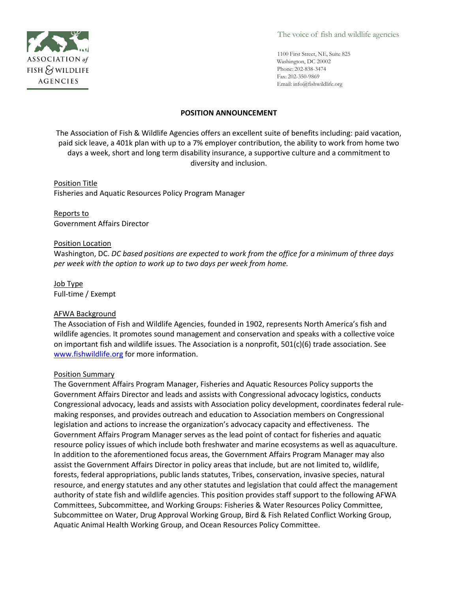

The voice of fish and wildlife agencies

1100 First Street, NE, Suite 825 Washington, DC 20002 Phone: 202-838-3474 Fax: 202-350-9869 Email: [info@fishwildlife.org](mailto:info@fishwildlife.org)

## **POSITION ANNOUNCEMENT**

The Association of Fish & Wildlife Agencies offers an excellent suite of benefits including: paid vacation, paid sick leave, a 401k plan with up to a 7% employer contribution, the ability to work from home two days a week, short and long term disability insurance, a supportive culture and a commitment to diversity and inclusion.

## Position Title

Fisheries and Aquatic Resources Policy Program Manager

## Reports to

Government Affairs Director

#### Position Location

Washington, DC. *DC based positions are expected to work from the office for a minimum of three days per week with the option to work up to two days per week from home.* 

# Job Type

Full-time / Exempt

## AFWA Background

The Association of Fish and Wildlife Agencies, founded in 1902, represents North America's fish and wildlife agencies. It promotes sound management and conservation and speaks with a collective voice on important fish and wildlife issues. The Association is a nonprofit, 501(c)(6) trade association. See [www.fishwildlife.org](http://www.fishwildlife.org/) for more information.

## Position Summary

The Government Affairs Program Manager, Fisheries and Aquatic Resources Policy supports the Government Affairs Director and leads and assists with Congressional advocacy logistics, conducts Congressional advocacy, leads and assists with Association policy development, coordinates federal rulemaking responses, and provides outreach and education to Association members on Congressional legislation and actions to increase the organization's advocacy capacity and effectiveness. The Government Affairs Program Manager serves as the lead point of contact for fisheries and aquatic resource policy issues of which include both freshwater and marine ecosystems as well as aquaculture. In addition to the aforementioned focus areas, the Government Affairs Program Manager may also assist the Government Affairs Director in policy areas that include, but are not limited to, wildlife, forests, federal appropriations, public lands statutes, Tribes, conservation, invasive species, natural resource, and energy statutes and any other statutes and legislation that could affect the management authority of state fish and wildlife agencies. This position provides staff support to the following AFWA Committees, Subcommittee, and Working Groups: Fisheries & Water Resources Policy Committee, Subcommittee on Water, Drug Approval Working Group, Bird & Fish Related Conflict Working Group, Aquatic Animal Health Working Group, and Ocean Resources Policy Committee.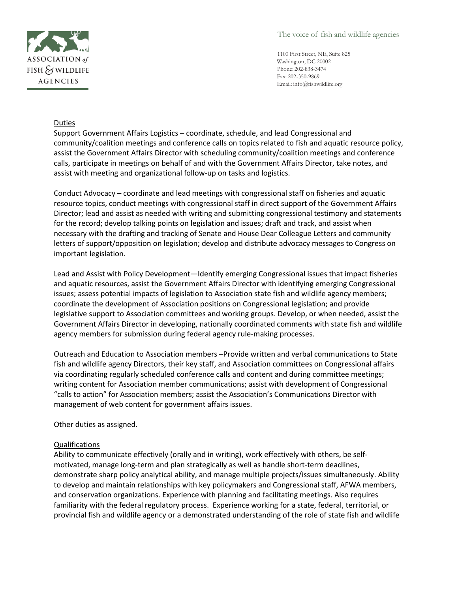

The voice of fish and wildlife agencies

1100 First Street, NE, Suite 825 Washington, DC 20002 Phone: 202-838-3474 Fax: 202-350-9869 Email: [info@fishwildlife.org](mailto:info@fishwildlife.org)

## Duties

Support Government Affairs Logistics – coordinate, schedule, and lead Congressional and community/coalition meetings and conference calls on topics related to fish and aquatic resource policy, assist the Government Affairs Director with scheduling community/coalition meetings and conference calls, participate in meetings on behalf of and with the Government Affairs Director, take notes, and assist with meeting and organizational follow-up on tasks and logistics.

Conduct Advocacy – coordinate and lead meetings with congressional staff on fisheries and aquatic resource topics, conduct meetings with congressional staff in direct support of the Government Affairs Director; lead and assist as needed with writing and submitting congressional testimony and statements for the record; develop talking points on legislation and issues; draft and track, and assist when necessary with the drafting and tracking of Senate and House Dear Colleague Letters and community letters of support/opposition on legislation; develop and distribute advocacy messages to Congress on important legislation.

Lead and Assist with Policy Development—Identify emerging Congressional issues that impact fisheries and aquatic resources, assist the Government Affairs Director with identifying emerging Congressional issues; assess potential impacts of legislation to Association state fish and wildlife agency members; coordinate the development of Association positions on Congressional legislation; and provide legislative support to Association committees and working groups. Develop, or when needed, assist the Government Affairs Director in developing, nationally coordinated comments with state fish and wildlife agency members for submission during federal agency rule-making processes.

Outreach and Education to Association members –Provide written and verbal communications to State fish and wildlife agency Directors, their key staff, and Association committees on Congressional affairs via coordinating regularly scheduled conference calls and content and during committee meetings; writing content for Association member communications; assist with development of Congressional "calls to action" for Association members; assist the Association's Communications Director with management of web content for government affairs issues.

Other duties as assigned.

## Qualifications

Ability to communicate effectively (orally and in writing), work effectively with others, be selfmotivated, manage long-term and plan strategically as well as handle short-term deadlines, demonstrate sharp policy analytical ability, and manage multiple projects/issues simultaneously. Ability to develop and maintain relationships with key policymakers and Congressional staff, AFWA members, and conservation organizations. Experience with planning and facilitating meetings. Also requires familiarity with the federal regulatory process. Experience working for a state, federal, territorial, or provincial fish and wildlife agency or a demonstrated understanding of the role of state fish and wildlife